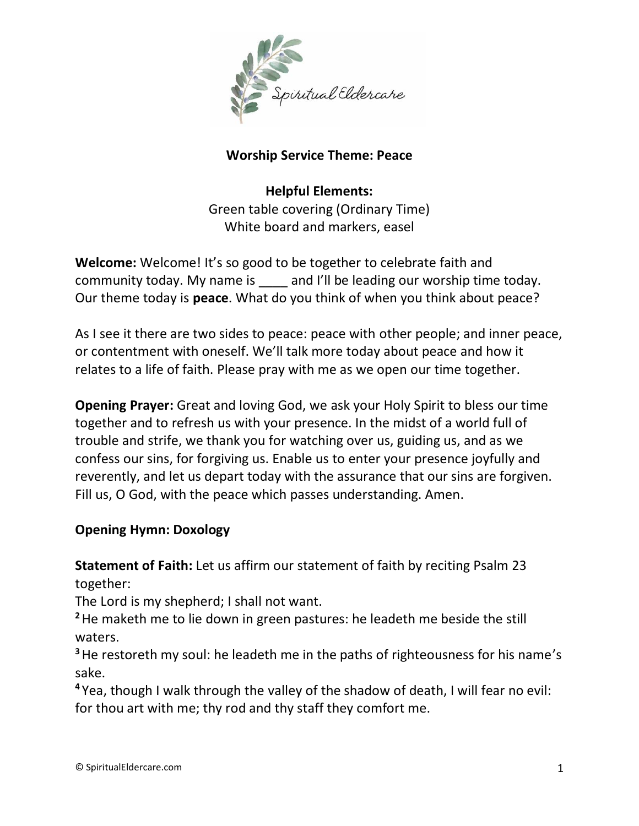

## **Worship Service Theme: Peace**

**Helpful Elements:** Green table covering (Ordinary Time) White board and markers, easel

**Welcome:** Welcome! It's so good to be together to celebrate faith and community today. My name is and I'll be leading our worship time today. Our theme today is **peace**. What do you think of when you think about peace?

As I see it there are two sides to peace: peace with other people; and inner peace, or contentment with oneself. We'll talk more today about peace and how it relates to a life of faith. Please pray with me as we open our time together.

**Opening Prayer:** Great and loving God, we ask your Holy Spirit to bless our time together and to refresh us with your presence. In the midst of a world full of trouble and strife, we thank you for watching over us, guiding us, and as we confess our sins, for forgiving us. Enable us to enter your presence joyfully and reverently, and let us depart today with the assurance that our sins are forgiven. Fill us, O God, with the peace which passes understanding. Amen.

## **Opening Hymn: Doxology**

**Statement of Faith:** Let us affirm our statement of faith by reciting Psalm 23 together:

The Lord is my shepherd; I shall not want.

**<sup>2</sup>**He maketh me to lie down in green pastures: he leadeth me beside the still waters.

**<sup>3</sup>**He restoreth my soul: he leadeth me in the paths of righteousness for his name's sake.

**<sup>4</sup>** Yea, though I walk through the valley of the shadow of death, I will fear no evil: for thou art with me; thy rod and thy staff they comfort me.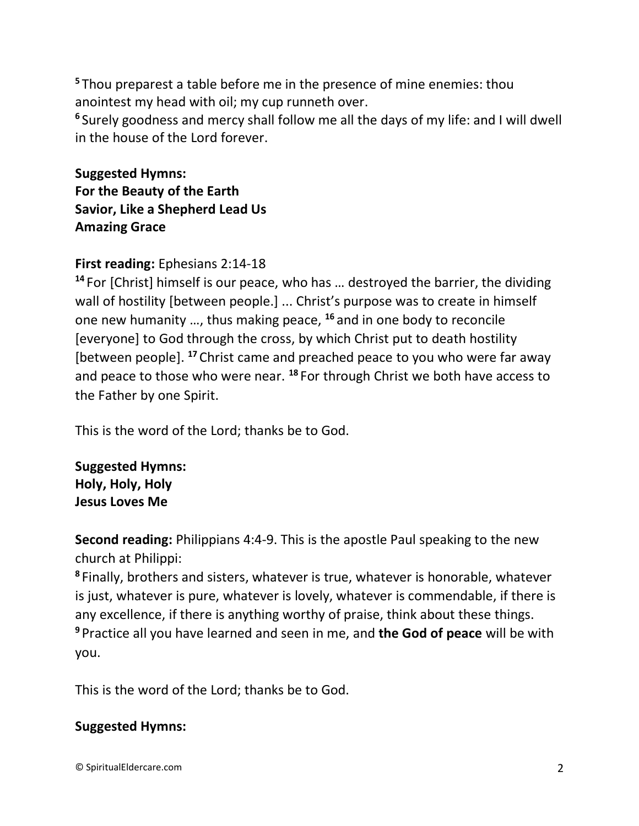**<sup>5</sup>** Thou preparest a table before me in the presence of mine enemies: thou anointest my head with oil; my cup runneth over.

**6** Surely goodness and mercy shall follow me all the days of my life: and I will dwell in the house of the Lord forever.

**Suggested Hymns: For the Beauty of the Earth Savior, Like a Shepherd Lead Us Amazing Grace**

## **First reading:** Ephesians 2:14-18

**<sup>14</sup>** For [Christ] himself is our peace, who has … destroyed the barrier, the dividing wall of hostility [between people.] ... Christ's purpose was to create in himself one new humanity …, thus making peace, **<sup>16</sup>** and in one body to reconcile [everyone] to God through the cross, by which Christ put to death hostility [between people]. **<sup>17</sup>** Christ came and preached peace to you who were far away and peace to those who were near. **<sup>18</sup>** For through Christ we both have access to the Father by one Spirit.

This is the word of the Lord; thanks be to God.

**Suggested Hymns: Holy, Holy, Holy Jesus Loves Me**

**Second reading:** Philippians 4:4-9. This is the apostle Paul speaking to the new church at Philippi:

**8** Finally, brothers and sisters, whatever is true, whatever is honorable, whatever is just, whatever is pure, whatever is lovely, whatever is commendable, if there is any excellence, if there is anything worthy of praise, think about these things. **<sup>9</sup>** Practice all you have learned and seen in me, and **the God of peace** will be with you.

This is the word of the Lord; thanks be to God.

### **Suggested Hymns:**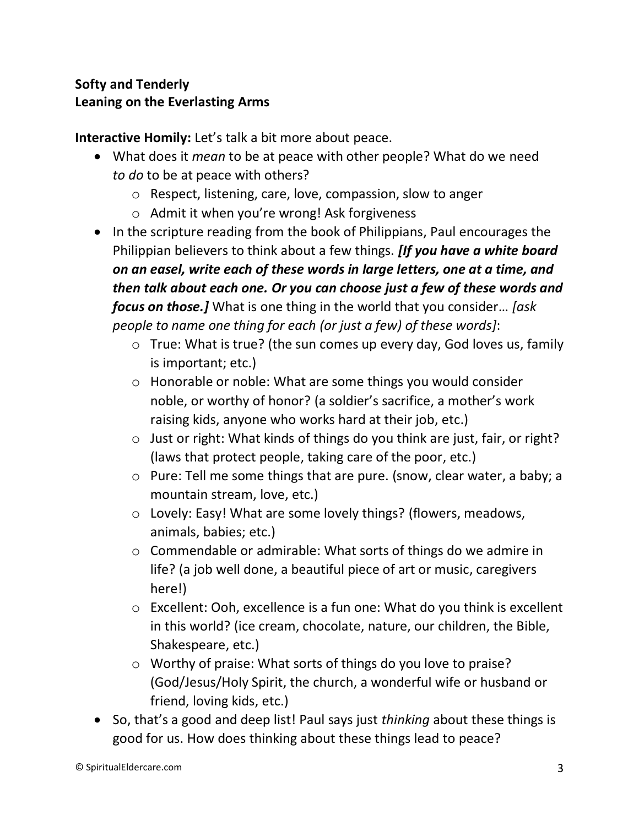# **Softy and Tenderly Leaning on the Everlasting Arms**

**Interactive Homily:** Let's talk a bit more about peace.

- What does it *mean* to be at peace with other people? What do we need *to do* to be at peace with others?
	- o Respect, listening, care, love, compassion, slow to anger
	- o Admit it when you're wrong! Ask forgiveness
- In the scripture reading from the book of Philippians, Paul encourages the Philippian believers to think about a few things. *[If you have a white board on an easel, write each of these words in large letters, one at a time, and then talk about each one. Or you can choose just a few of these words and focus on those.]* What is one thing in the world that you consider… *[ask people to name one thing for each (or just a few) of these words]*:
	- o True: What is true? (the sun comes up every day, God loves us, family is important; etc.)
	- o Honorable or noble: What are some things you would consider noble, or worthy of honor? (a soldier's sacrifice, a mother's work raising kids, anyone who works hard at their job, etc.)
	- o Just or right: What kinds of things do you think are just, fair, or right? (laws that protect people, taking care of the poor, etc.)
	- o Pure: Tell me some things that are pure. (snow, clear water, a baby; a mountain stream, love, etc.)
	- o Lovely: Easy! What are some lovely things? (flowers, meadows, animals, babies; etc.)
	- o Commendable or admirable: What sorts of things do we admire in life? (a job well done, a beautiful piece of art or music, caregivers here!)
	- o Excellent: Ooh, excellence is a fun one: What do you think is excellent in this world? (ice cream, chocolate, nature, our children, the Bible, Shakespeare, etc.)
	- o Worthy of praise: What sorts of things do you love to praise? (God/Jesus/Holy Spirit, the church, a wonderful wife or husband or friend, loving kids, etc.)
- So, that's a good and deep list! Paul says just *thinking* about these things is good for us. How does thinking about these things lead to peace?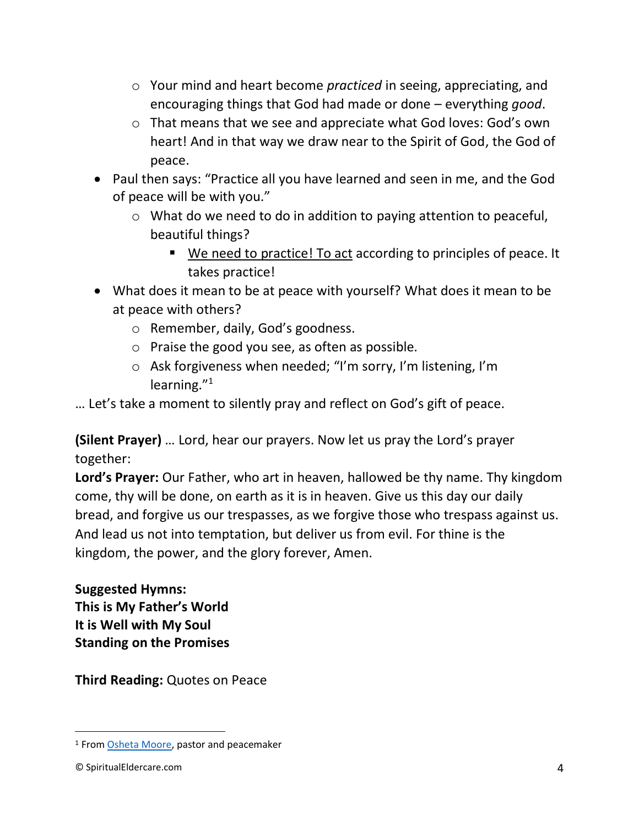- o Your mind and heart become *practiced* in seeing, appreciating, and encouraging things that God had made or done – everything *good*.
- o That means that we see and appreciate what God loves: God's own heart! And in that way we draw near to the Spirit of God, the God of peace.
- Paul then says: "Practice all you have learned and seen in me, and the God of peace will be with you."
	- o What do we need to do in addition to paying attention to peaceful, beautiful things?
		- We need to practice! To act according to principles of peace. It takes practice!
- What does it mean to be at peace with yourself? What does it mean to be at peace with others?
	- o Remember, daily, God's goodness.
	- o Praise the good you see, as often as possible.
	- o Ask forgiveness when needed; "I'm sorry, I'm listening, I'm learning."<sup>1</sup>

… Let's take a moment to silently pray and reflect on God's gift of peace.

**(Silent Prayer)** … Lord, hear our prayers. Now let us pray the Lord's prayer together:

**Lord's Prayer:** Our Father, who art in heaven, hallowed be thy name. Thy kingdom come, thy will be done, on earth as it is in heaven. Give us this day our daily bread, and forgive us our trespasses, as we forgive those who trespass against us. And lead us not into temptation, but deliver us from evil. For thine is the kingdom, the power, and the glory forever, Amen.

**Suggested Hymns: This is My Father's World It is Well with My Soul Standing on the Promises**

**Third Reading:** Quotes on Peace

<sup>&</sup>lt;sup>1</sup> Fro[m Osheta Moore,](https://osheta.com/) pastor and peacemaker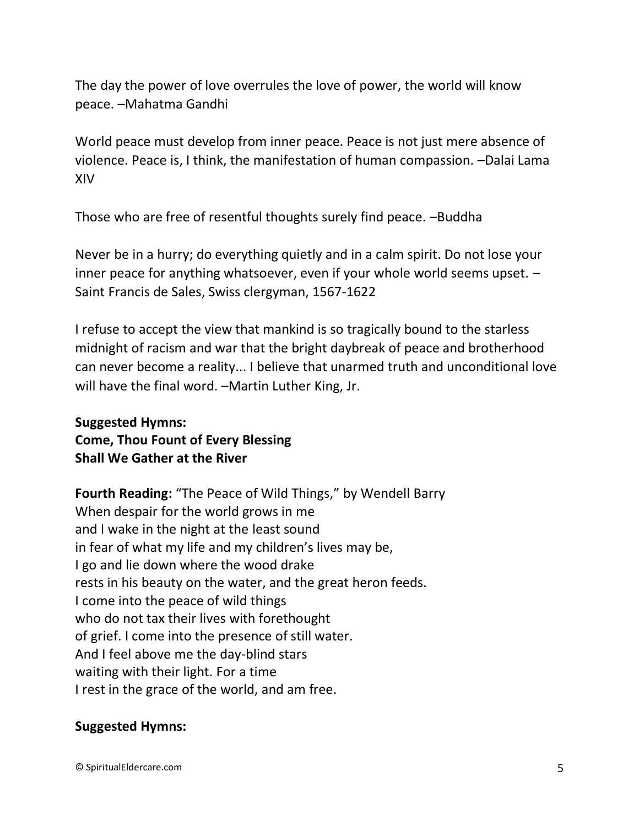The day the power of love overrules the love of power, the world will know peace. –Mahatma Gandhi

World peace must develop from inner peace. Peace is not just mere absence of violence. Peace is, I think, the manifestation of human compassion. –Dalai Lama XIV

Those who are free of resentful thoughts surely find peace. –Buddha

Never be in a hurry; do everything quietly and in a calm spirit. Do not lose your inner peace for anything whatsoever, even if your whole world seems upset. – Saint Francis de Sales, Swiss clergyman, 1567-1622

I refuse to accept the view that mankind is so tragically bound to the starless midnight of racism and war that the bright daybreak of peace and brotherhood can never become a reality... I believe that unarmed truth and unconditional love will have the final word. -Martin Luther King, Jr.

## **Suggested Hymns: Come, Thou Fount of Every Blessing Shall We Gather at the River**

**Fourth Reading:** "The Peace of Wild Things," by Wendell Barry When despair for the world grows in me and I wake in the night at the least sound in fear of what my life and my children's lives may be, I go and lie down where the wood drake rests in his beauty on the water, and the great heron feeds. I come into the peace of wild things who do not tax their lives with forethought of grief. I come into the presence of still water. And I feel above me the day-blind stars waiting with their light. For a time I rest in the grace of the world, and am free.

#### **Suggested Hymns:**